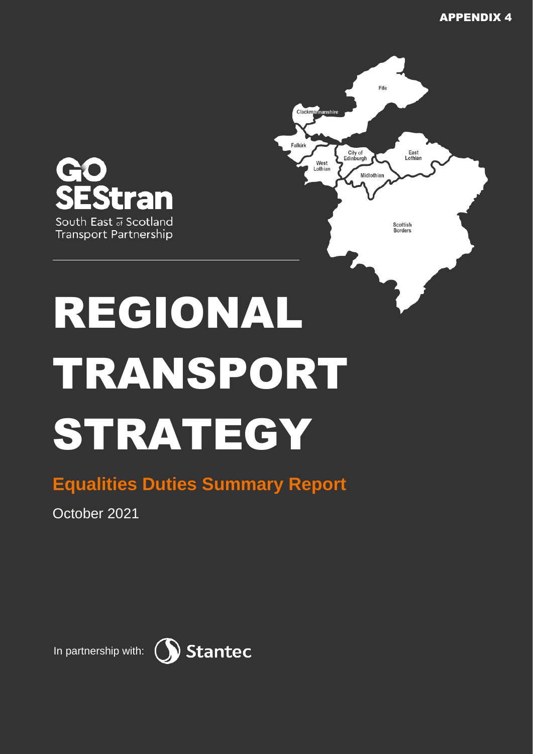$Fit<sub>P</sub>$ 

East<br>Lothian

Scottish **Borders** 

City of<br>Edinburgh

Midlothian

Clackman

West<br>Lothian

Falkirk



# REGIONAL TRANSPORT STRATEGY

# **Equalities Duties Summary Report**

October 2021

In partnership with: (Stantec

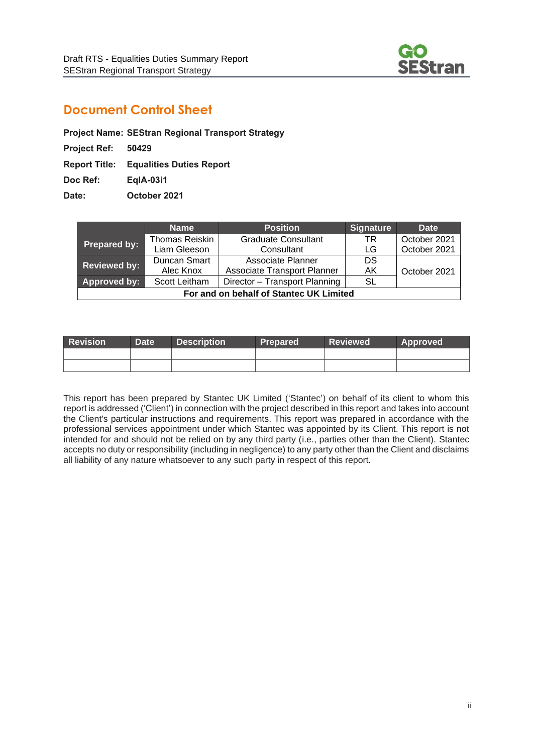

# **Document Control Sheet**

**Project Name: SEStran Regional Transport Strategy**

**Project Ref: 50429**

**Report Title: Equalities Duties Report**

**Doc Ref: EqIA-03i1**

**Date: October 2021**

|                                         | <b>Name</b>    | <b>Position</b>               | <b>Signature</b> | <b>Date</b>  |  |  |
|-----------------------------------------|----------------|-------------------------------|------------------|--------------|--|--|
| <b>Prepared by:</b>                     | Thomas Reiskin | <b>Graduate Consultant</b>    | TR               | October 2021 |  |  |
|                                         | Liam Gleeson   | Consultant                    | LG               | October 2021 |  |  |
| <b>Reviewed by:</b>                     | Duncan Smart   | Associate Planner             | DS               |              |  |  |
|                                         | Alec Knox      | Associate Transport Planner   | AK               | October 2021 |  |  |
| <b>Approved by:</b>                     | Scott Leitham  | Director - Transport Planning | SL               |              |  |  |
| For and on behalf of Stantec UK Limited |                |                               |                  |              |  |  |

| <b>Revision</b> | Date <sup>1</sup> | <b>Description</b> | <b>Prepared</b> | <b>Reviewed</b> | Approved |
|-----------------|-------------------|--------------------|-----------------|-----------------|----------|
|                 |                   |                    |                 |                 |          |
|                 |                   |                    |                 |                 |          |

This report has been prepared by Stantec UK Limited ('Stantec') on behalf of its client to whom this report is addressed ('Client') in connection with the project described in this report and takes into account the Client's particular instructions and requirements. This report was prepared in accordance with the professional services appointment under which Stantec was appointed by its Client. This report is not intended for and should not be relied on by any third party (i.e., parties other than the Client). Stantec accepts no duty or responsibility (including in negligence) to any party other than the Client and disclaims all liability of any nature whatsoever to any such party in respect of this report.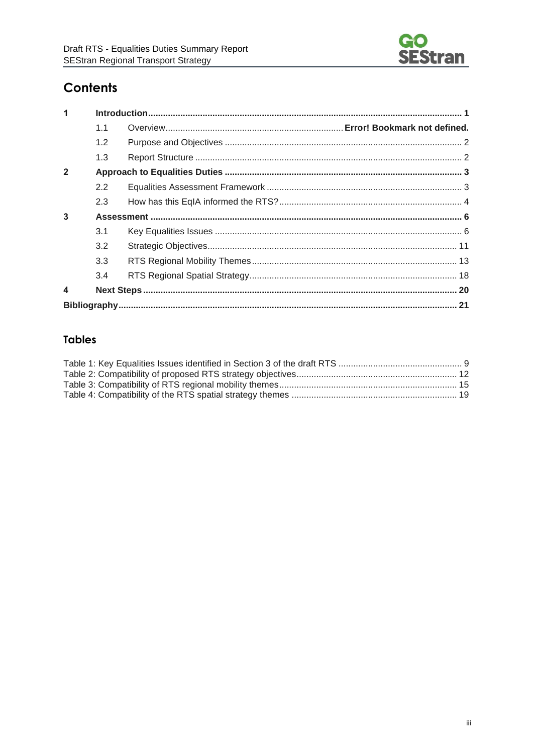

# **Contents**

| 1                |     |  |
|------------------|-----|--|
|                  | 1.1 |  |
|                  | 1.2 |  |
|                  | 1.3 |  |
| $\mathbf{2}$     |     |  |
|                  | 2.2 |  |
|                  | 2.3 |  |
| 3                |     |  |
|                  | 3.1 |  |
|                  | 3.2 |  |
|                  | 3.3 |  |
|                  | 3.4 |  |
| $\boldsymbol{4}$ |     |  |
|                  |     |  |

# **Tables**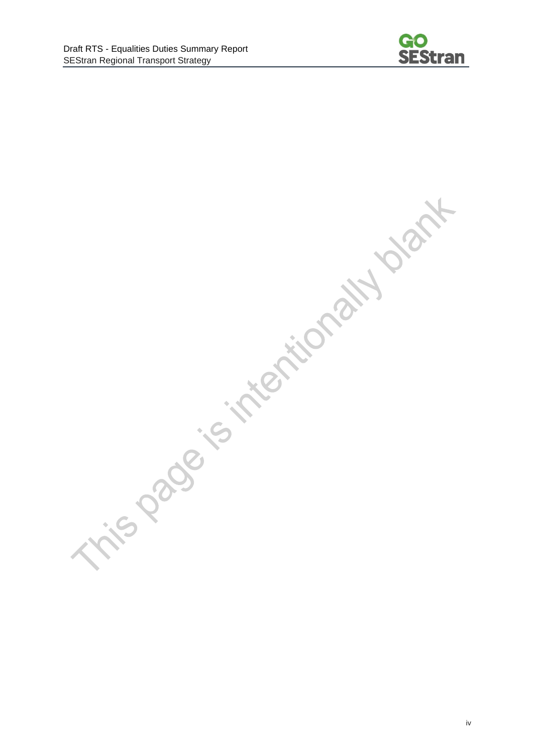

This page is intentionally bank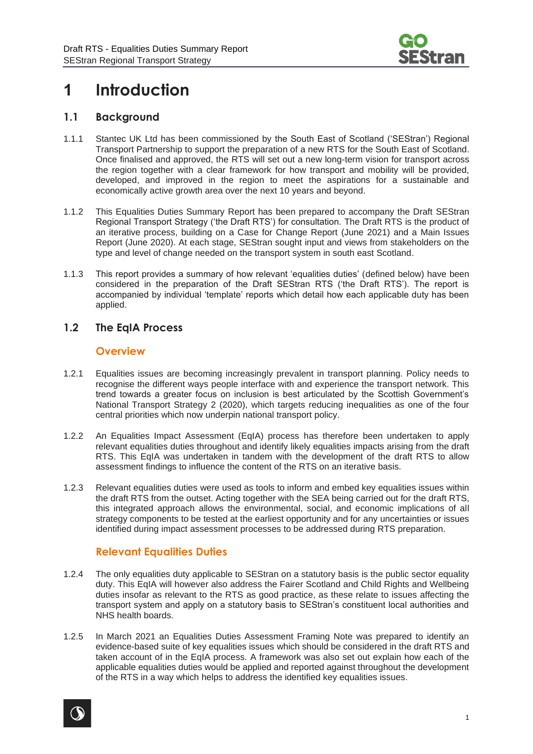

# <span id="page-4-0"></span>**1 Introduction**

### **1.1 Background**

- 1.1.1 Stantec UK Ltd has been commissioned by the South East of Scotland ('SEStran') Regional Transport Partnership to support the preparation of a new RTS for the South East of Scotland. Once finalised and approved, the RTS will set out a new long-term vision for transport across the region together with a clear framework for how transport and mobility will be provided, developed, and improved in the region to meet the aspirations for a sustainable and economically active growth area over the next 10 years and beyond.
- 1.1.2 This Equalities Duties Summary Report has been prepared to accompany the Draft SEStran Regional Transport Strategy ('the Draft RTS') for consultation. The Draft RTS is the product of an iterative process, building on a Case for Change Report (June 2021) and a Main Issues Report (June 2020). At each stage, SEStran sought input and views from stakeholders on the type and level of change needed on the transport system in south east Scotland.
- 1.1.3 This report provides a summary of how relevant 'equalities duties' (defined below) have been considered in the preparation of the Draft SEStran RTS ('the Draft RTS'). The report is accompanied by individual 'template' reports which detail how each applicable duty has been applied.

## **1.2 The EqIA Process**

#### **Overview**

- 1.2.1 Equalities issues are becoming increasingly prevalent in transport planning. Policy needs to recognise the different ways people interface with and experience the transport network. This trend towards a greater focus on inclusion is best articulated by the Scottish Government's National Transport Strategy 2 (2020), which targets reducing inequalities as one of the four central priorities which now underpin national transport policy.
- 1.2.2 An Equalities Impact Assessment (EqIA) process has therefore been undertaken to apply relevant equalities duties throughout and identify likely equalities impacts arising from the draft RTS. This EqIA was undertaken in tandem with the development of the draft RTS to allow assessment findings to influence the content of the RTS on an iterative basis.
- 1.2.3 Relevant equalities duties were used as tools to inform and embed key equalities issues within the draft RTS from the outset. Acting together with the SEA being carried out for the draft RTS, this integrated approach allows the environmental, social, and economic implications of all strategy components to be tested at the earliest opportunity and for any uncertainties or issues identified during impact assessment processes to be addressed during RTS preparation.

## **Relevant Equalities Duties**

- 1.2.4 The only equalities duty applicable to SEStran on a statutory basis is the public sector equality duty. This EqIA will however also address the Fairer Scotland and Child Rights and Wellbeing duties insofar as relevant to the RTS as good practice, as these relate to issues affecting the transport system and apply on a statutory basis to SEStran's constituent local authorities and NHS health boards.
- 1.2.5 In March 2021 an Equalities Duties Assessment Framing Note was prepared to identify an evidence-based suite of key equalities issues which should be considered in the draft RTS and taken account of in the EqIA process. A framework was also set out explain how each of the applicable equalities duties would be applied and reported against throughout the development of the RTS in a way which helps to address the identified key equalities issues.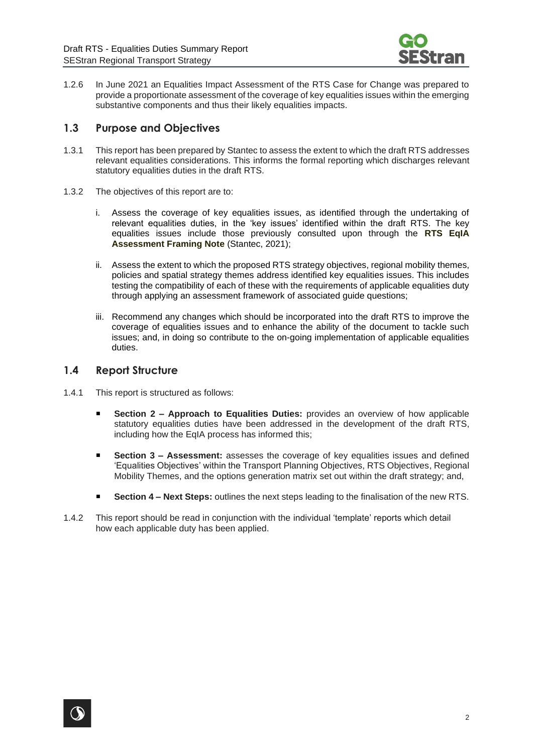

1.2.6 In June 2021 an Equalities Impact Assessment of the RTS Case for Change was prepared to provide a proportionate assessment of the coverage of key equalities issues within the emerging substantive components and thus their likely equalities impacts.

### <span id="page-5-0"></span>**1.3 Purpose and Objectives**

- 1.3.1 This report has been prepared by Stantec to assess the extent to which the draft RTS addresses relevant equalities considerations. This informs the formal reporting which discharges relevant statutory equalities duties in the draft RTS.
- 1.3.2 The objectives of this report are to:
	- i. Assess the coverage of key equalities issues, as identified through the undertaking of relevant equalities duties, in the 'key issues' identified within the draft RTS. The key equalities issues include those previously consulted upon through the **RTS EqIA Assessment Framing Note** (Stantec, 2021);
	- ii. Assess the extent to which the proposed RTS strategy objectives, regional mobility themes, policies and spatial strategy themes address identified key equalities issues. This includes testing the compatibility of each of these with the requirements of applicable equalities duty through applying an assessment framework of associated guide questions;
	- iii. Recommend any changes which should be incorporated into the draft RTS to improve the coverage of equalities issues and to enhance the ability of the document to tackle such issues; and, in doing so contribute to the on-going implementation of applicable equalities duties.

### <span id="page-5-1"></span>**1.4 Report Structure**

- 1.4.1 This report is structured as follows:
	- **Section 2 Approach to Equalities Duties:** provides an overview of how applicable statutory equalities duties have been addressed in the development of the draft RTS, including how the EqIA process has informed this;
	- **Section 3 Assessment:** assesses the coverage of key equalities issues and defined 'Equalities Objectives' within the Transport Planning Objectives, RTS Objectives, Regional Mobility Themes, and the options generation matrix set out within the draft strategy; and,
	- **Section 4 Next Steps:** outlines the next steps leading to the finalisation of the new RTS.
- 1.4.2 This report should be read in conjunction with the individual 'template' reports which detail how each applicable duty has been applied.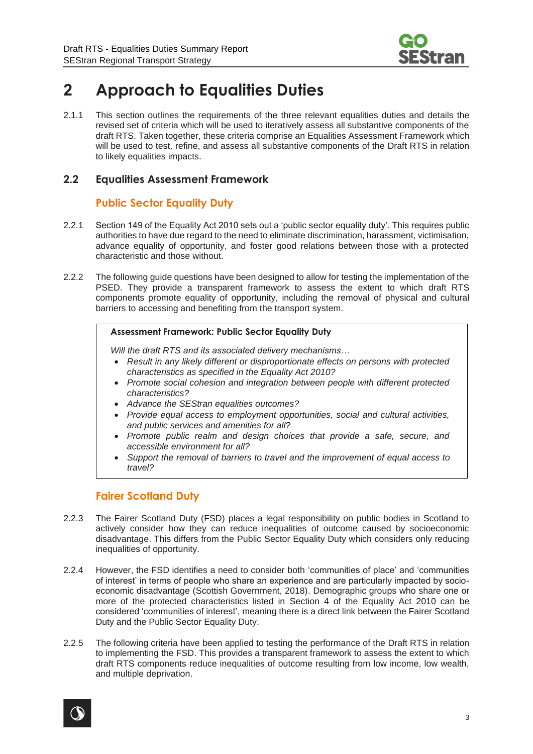

# <span id="page-6-0"></span>**2 Approach to Equalities Duties**

2.1.1 This section outlines the requirements of the three relevant equalities duties and details the revised set of criteria which will be used to iteratively assess all substantive components of the draft RTS. Taken together, these criteria comprise an Equalities Assessment Framework which will be used to test, refine, and assess all substantive components of the Draft RTS in relation to likely equalities impacts.

## <span id="page-6-1"></span>**2.2 Equalities Assessment Framework**

# **Public Sector Equality Duty**

- 2.2.1 Section 149 of the Equality Act 2010 sets out a 'public sector equality duty'. This requires public authorities to have due regard to the need to eliminate discrimination, harassment, victimisation, advance equality of opportunity, and foster good relations between those with a protected characteristic and those without.
- 2.2.2 The following guide questions have been designed to allow for testing the implementation of the PSED. They provide a transparent framework to assess the extent to which draft RTS components promote equality of opportunity, including the removal of physical and cultural barriers to accessing and benefiting from the transport system.

#### **Assessment Framework: Public Sector Equality Duty**

*Will the draft RTS and its associated delivery mechanisms…*

- *Result in any likely different or disproportionate effects on persons with protected characteristics as specified in the Equality Act 2010?*
- *Promote social cohesion and integration between people with different protected characteristics?*
- *Advance the SEStran equalities outcomes?*
- *Provide equal access to employment opportunities, social and cultural activities, and public services and amenities for all?*
- *Promote public realm and design choices that provide a safe, secure, and accessible environment for all?*
- *Support the removal of barriers to travel and the improvement of equal access to travel?*

## **Fairer Scotland Duty**

- 2.2.3 The Fairer Scotland Duty (FSD) places a legal responsibility on public bodies in Scotland to actively consider how they can reduce inequalities of outcome caused by socioeconomic disadvantage. This differs from the Public Sector Equality Duty which considers only reducing inequalities of opportunity.
- 2.2.4 However, the FSD identifies a need to consider both 'communities of place' and 'communities of interest' in terms of people who share an experience and are particularly impacted by socioeconomic disadvantage (Scottish Government, 2018). Demographic groups who share one or more of the protected characteristics listed in Section 4 of the Equality Act 2010 can be considered 'communities of interest', meaning there is a direct link between the Fairer Scotland Duty and the Public Sector Equality Duty.
- 2.2.5 The following criteria have been applied to testing the performance of the Draft RTS in relation to implementing the FSD. This provides a transparent framework to assess the extent to which draft RTS components reduce inequalities of outcome resulting from low income, low wealth, and multiple deprivation.

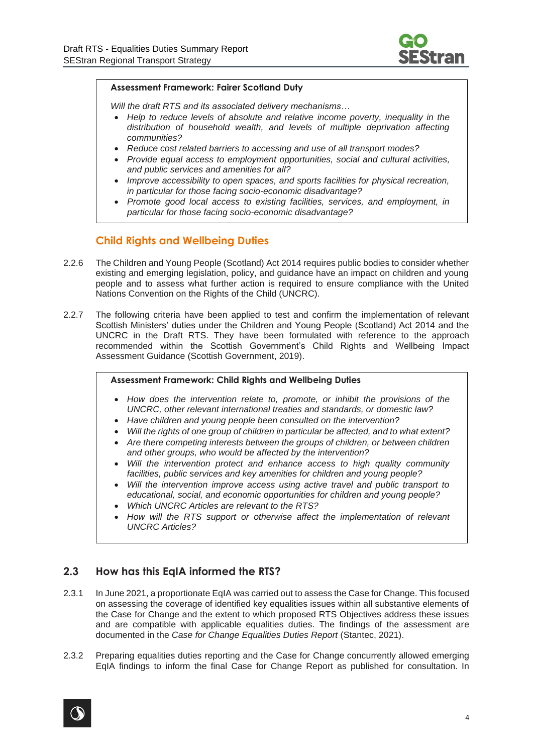

#### **Assessment Framework: Fairer Scotland Duty**

*Will the draft RTS and its associated delivery mechanisms…*

- *Help to reduce levels of absolute and relative income poverty, inequality in the*  distribution of household wealth, and levels of multiple deprivation affecting *communities?*
- *Reduce cost related barriers to accessing and use of all transport modes?*
- *Provide equal access to employment opportunities, social and cultural activities, and public services and amenities for all?*
- *Improve accessibility to open spaces, and sports facilities for physical recreation, in particular for those facing socio-economic disadvantage?*
- *Promote good local access to existing facilities, services, and employment, in particular for those facing socio-economic disadvantage?*

## **Child Rights and Wellbeing Duties**

- 2.2.6 The Children and Young People (Scotland) Act 2014 requires public bodies to consider whether existing and emerging legislation, policy, and guidance have an impact on children and young people and to assess what further action is required to ensure compliance with the United Nations Convention on the Rights of the Child (UNCRC).
- 2.2.7 The following criteria have been applied to test and confirm the implementation of relevant Scottish Ministers' duties under the Children and Young People (Scotland) Act 2014 and the UNCRC in the Draft RTS. They have been formulated with reference to the approach recommended within the Scottish Government's Child Rights and Wellbeing Impact Assessment Guidance (Scottish Government, 2019).

#### **Assessment Framework: Child Rights and Wellbeing Duties**

- *How does the intervention relate to, promote, or inhibit the provisions of the UNCRC, other relevant international treaties and standards, or domestic law?*
- *Have children and young people been consulted on the intervention?*
- *Will the rights of one group of children in particular be affected, and to what extent?*
- *Are there competing interests between the groups of children, or between children and other groups, who would be affected by the intervention?*
- *Will the intervention protect and enhance access to high quality community facilities, public services and key amenities for children and young people?*
- *Will the intervention improve access using active travel and public transport to educational, social, and economic opportunities for children and young people?*
- *Which UNCRC Articles are relevant to the RTS?*
- How will the RTS support or otherwise affect the implementation of relevant *UNCRC Articles?*

#### <span id="page-7-0"></span>**2.3 How has this EqIA informed the RTS?**

- 2.3.1 In June 2021, a proportionate EqIA was carried out to assess the Case for Change. This focused on assessing the coverage of identified key equalities issues within all substantive elements of the Case for Change and the extent to which proposed RTS Objectives address these issues and are compatible with applicable equalities duties. The findings of the assessment are documented in the *Case for Change Equalities Duties Report* (Stantec, 2021).
- 2.3.2 Preparing equalities duties reporting and the Case for Change concurrently allowed emerging EqIA findings to inform the final Case for Change Report as published for consultation. In

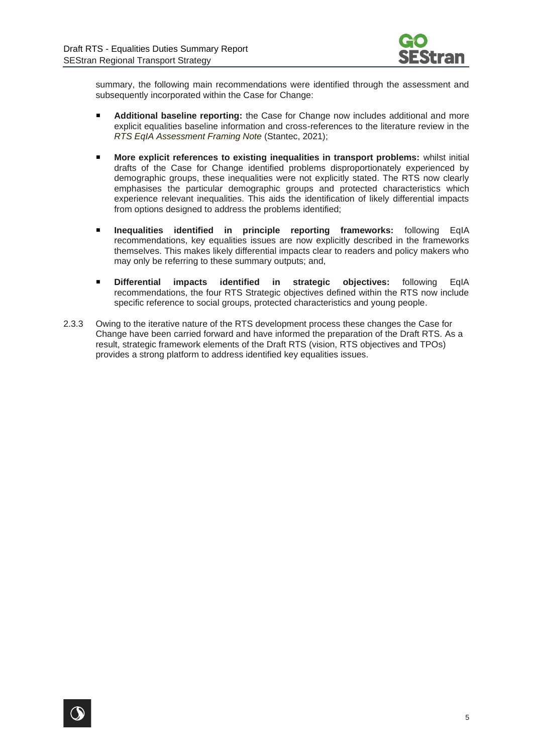

summary, the following main recommendations were identified through the assessment and subsequently incorporated within the Case for Change:

- **Additional baseline reporting:** the Case for Change now includes additional and more explicit equalities baseline information and cross-references to the literature review in the *RTS EqIA Assessment Framing Note* (Stantec, 2021);
- **More explicit references to existing inequalities in transport problems:** whilst initial drafts of the Case for Change identified problems disproportionately experienced by demographic groups, these inequalities were not explicitly stated. The RTS now clearly emphasises the particular demographic groups and protected characteristics which experience relevant inequalities. This aids the identification of likely differential impacts from options designed to address the problems identified;
- **Inequalities identified in principle reporting frameworks:** following EqIA recommendations, key equalities issues are now explicitly described in the frameworks themselves. This makes likely differential impacts clear to readers and policy makers who may only be referring to these summary outputs; and,
- **Differential impacts identified in strategic objectives:** following EqIA recommendations, the four RTS Strategic objectives defined within the RTS now include specific reference to social groups, protected characteristics and young people.
- 2.3.3 Owing to the iterative nature of the RTS development process these changes the Case for Change have been carried forward and have informed the preparation of the Draft RTS. As a result, strategic framework elements of the Draft RTS (vision, RTS objectives and TPOs) provides a strong platform to address identified key equalities issues.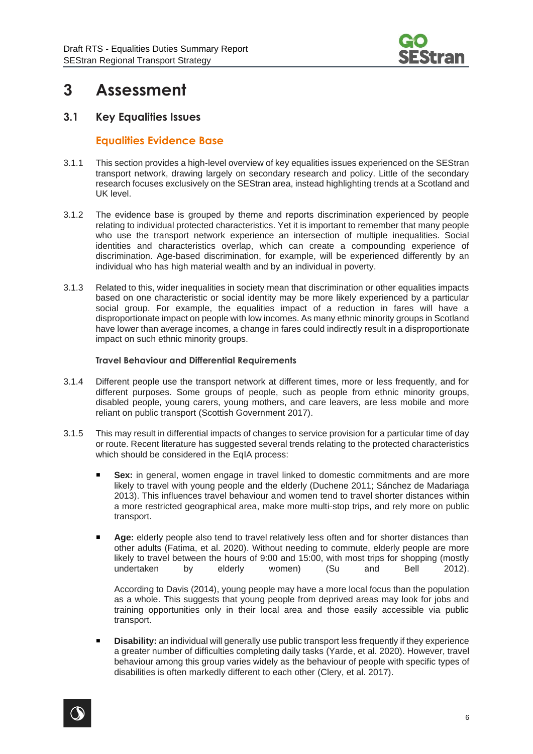

# <span id="page-9-0"></span>**3 Assessment**

#### <span id="page-9-1"></span>**3.1 Key Equalities Issues**

#### **Equalities Evidence Base**

- 3.1.1 This section provides a high-level overview of key equalities issues experienced on the SEStran transport network, drawing largely on secondary research and policy. Little of the secondary research focuses exclusively on the SEStran area, instead highlighting trends at a Scotland and UK level.
- 3.1.2 The evidence base is grouped by theme and reports discrimination experienced by people relating to individual protected characteristics. Yet it is important to remember that many people who use the transport network experience an intersection of multiple inequalities. Social identities and characteristics overlap, which can create a compounding experience of discrimination. Age-based discrimination, for example, will be experienced differently by an individual who has high material wealth and by an individual in poverty.
- 3.1.3 Related to this, wider inequalities in society mean that discrimination or other equalities impacts based on one characteristic or social identity may be more likely experienced by a particular social group. For example, the equalities impact of a reduction in fares will have a disproportionate impact on people with low incomes. As many ethnic minority groups in Scotland have lower than average incomes, a change in fares could indirectly result in a disproportionate impact on such ethnic minority groups.

#### **Travel Behaviour and Differential Requirements**

- 3.1.4 Different people use the transport network at different times, more or less frequently, and for different purposes. Some groups of people, such as people from ethnic minority groups, disabled people, young carers, young mothers, and care leavers, are less mobile and more reliant on public transport (Scottish Government 2017).
- 3.1.5 This may result in differential impacts of changes to service provision for a particular time of day or route. Recent literature has suggested several trends relating to the protected characteristics which should be considered in the EqIA process:
	- **Sex:** in general, women engage in travel linked to domestic commitments and are more likely to travel with young people and the elderly (Duchene 2011; Sánchez de Madariaga 2013). This influences travel behaviour and women tend to travel shorter distances within a more restricted geographical area, make more multi-stop trips, and rely more on public transport.
	- **Age:** elderly people also tend to travel relatively less often and for shorter distances than other adults (Fatima, et al. 2020). Without needing to commute, elderly people are more likely to travel between the hours of 9:00 and 15:00, with most trips for shopping (mostly undertaken by elderly women) (Su and Bell 2012).

According to Davis (2014), young people may have a more local focus than the population as a whole. This suggests that young people from deprived areas may look for jobs and training opportunities only in their local area and those easily accessible via public transport.

**Disability:** an individual will generally use public transport less frequently if they experience a greater number of difficulties completing daily tasks (Yarde, et al. 2020). However, travel behaviour among this group varies widely as the behaviour of people with specific types of disabilities is often markedly different to each other (Clery, et al. 2017).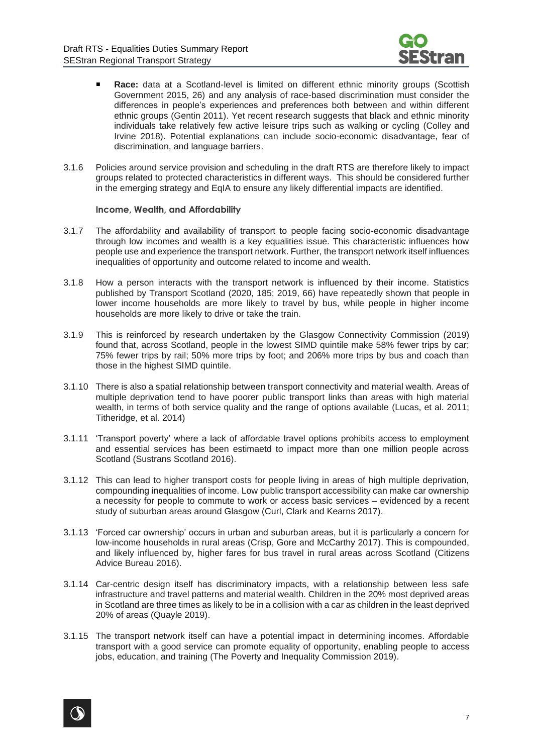

- **Race:** data at a Scotland-level is limited on different ethnic minority groups (Scottish Government 2015, 26) and any analysis of race-based discrimination must consider the differences in people's experiences and preferences both between and within different ethnic groups (Gentin 2011). Yet recent research suggests that black and ethnic minority individuals take relatively few active leisure trips such as walking or cycling (Colley and Irvine 2018). Potential explanations can include socio-economic disadvantage, fear of discrimination, and language barriers.
- 3.1.6 Policies around service provision and scheduling in the draft RTS are therefore likely to impact groups related to protected characteristics in different ways. This should be considered further in the emerging strategy and EqIA to ensure any likely differential impacts are identified.

#### **Income, Wealth, and Affordability**

- 3.1.7 The affordability and availability of transport to people facing socio-economic disadvantage through low incomes and wealth is a key equalities issue. This characteristic influences how people use and experience the transport network. Further, the transport network itself influences inequalities of opportunity and outcome related to income and wealth.
- 3.1.8 How a person interacts with the transport network is influenced by their income. Statistics published by Transport Scotland (2020, 185; 2019, 66) have repeatedly shown that people in lower income households are more likely to travel by bus, while people in higher income households are more likely to drive or take the train.
- 3.1.9 This is reinforced by research undertaken by the Glasgow Connectivity Commission (2019) found that, across Scotland, people in the lowest SIMD quintile make 58% fewer trips by car; 75% fewer trips by rail; 50% more trips by foot; and 206% more trips by bus and coach than those in the highest SIMD quintile.
- 3.1.10 There is also a spatial relationship between transport connectivity and material wealth. Areas of multiple deprivation tend to have poorer public transport links than areas with high material wealth, in terms of both service quality and the range of options available (Lucas, et al. 2011; Titheridge, et al. 2014)
- 3.1.11 'Transport poverty' where a lack of affordable travel options prohibits access to employment and essential services has been estimaetd to impact more than one million people across Scotland (Sustrans Scotland 2016).
- 3.1.12 This can lead to higher transport costs for people living in areas of high multiple deprivation, compounding inequalities of income. Low public transport accessibility can make car ownership a necessity for people to commute to work or access basic services – evidenced by a recent study of suburban areas around Glasgow (Curl, Clark and Kearns 2017).
- 3.1.13 'Forced car ownership' occurs in urban and suburban areas, but it is particularly a concern for low-income households in rural areas (Crisp, Gore and McCarthy 2017). This is compounded, and likely influenced by, higher fares for bus travel in rural areas across Scotland (Citizens Advice Bureau 2016).
- 3.1.14 Car-centric design itself has discriminatory impacts, with a relationship between less safe infrastructure and travel patterns and material wealth. Children in the 20% most deprived areas in Scotland are three times as likely to be in a collision with a car as children in the least deprived 20% of areas (Quayle 2019).
- 3.1.15 The transport network itself can have a potential impact in determining incomes. Affordable transport with a good service can promote equality of opportunity, enabling people to access jobs, education, and training (The Poverty and Inequality Commission 2019).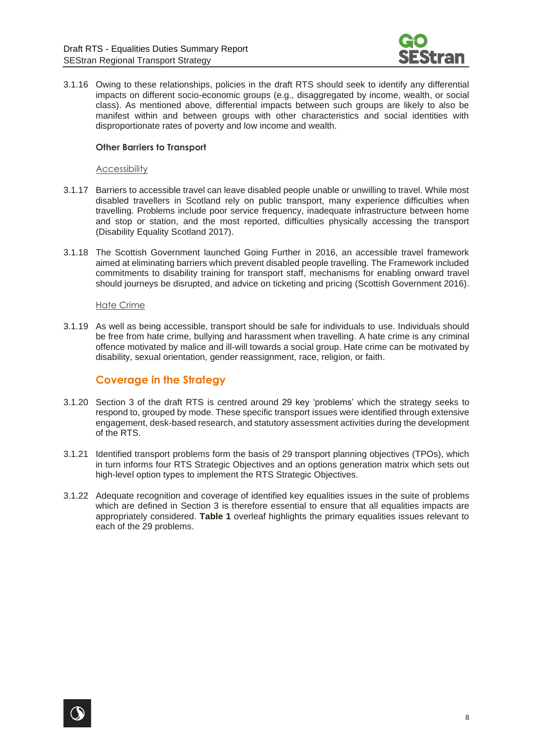

3.1.16 Owing to these relationships, policies in the draft RTS should seek to identify any differential impacts on different socio-economic groups (e.g., disaggregated by income, wealth, or social class). As mentioned above, differential impacts between such groups are likely to also be manifest within and between groups with other characteristics and social identities with disproportionate rates of poverty and low income and wealth.

#### **Other Barriers to Transport**

#### Accessibility

- 3.1.17 Barriers to accessible travel can leave disabled people unable or unwilling to travel. While most disabled travellers in Scotland rely on public transport, many experience difficulties when travelling. Problems include poor service frequency, inadequate infrastructure between home and stop or station, and the most reported, difficulties physically accessing the transport (Disability Equality Scotland 2017).
- 3.1.18 The Scottish Government launched Going Further in 2016, an accessible travel framework aimed at eliminating barriers which prevent disabled people travelling. The Framework included commitments to disability training for transport staff, mechanisms for enabling onward travel should journeys be disrupted, and advice on ticketing and pricing (Scottish Government 2016).

#### Hate Crime

3.1.19 As well as being accessible, transport should be safe for individuals to use. Individuals should be free from hate crime, bullying and harassment when travelling. A hate crime is any criminal offence motivated by malice and ill-will towards a social group. Hate crime can be motivated by disability, sexual orientation, gender reassignment, race, religion, or faith.

#### **Coverage in the Strategy**

- 3.1.20 Section 3 of the draft RTS is centred around 29 key 'problems' which the strategy seeks to respond to, grouped by mode. These specific transport issues were identified through extensive engagement, desk-based research, and statutory assessment activities during the development of the RTS.
- 3.1.21 Identified transport problems form the basis of 29 transport planning objectives (TPOs), which in turn informs four RTS Strategic Objectives and an options generation matrix which sets out high-level option types to implement the RTS Strategic Objectives.
- 3.1.22 Adequate recognition and coverage of identified key equalities issues in the suite of problems which are defined in Section 3 is therefore essential to ensure that all equalities impacts are appropriately considered. **[Table 1](#page-12-0)** overleaf highlights the primary equalities issues relevant to each of the 29 problems.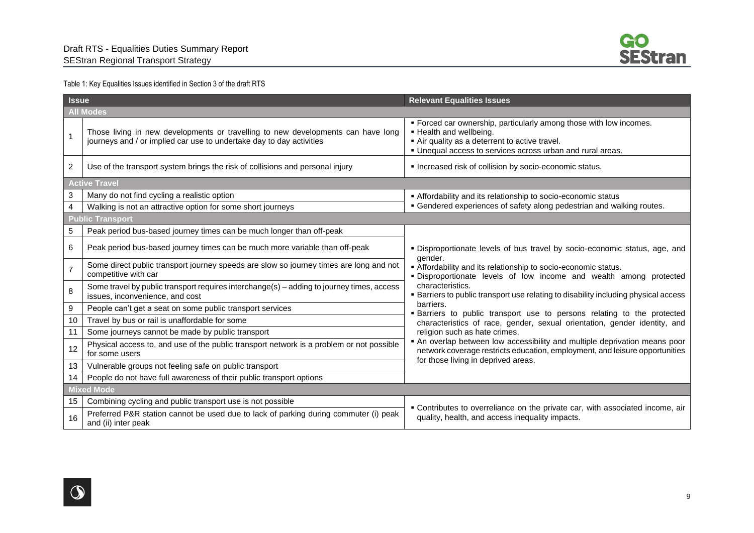

#### Table 1: Key Equalities Issues identified in Section 3 of the draft RTS

<span id="page-12-0"></span>

| <b>Issue</b>            |                                                                                                                                                          | <b>Relevant Equalities Issues</b>                                                                                                                                                                           |
|-------------------------|----------------------------------------------------------------------------------------------------------------------------------------------------------|-------------------------------------------------------------------------------------------------------------------------------------------------------------------------------------------------------------|
|                         | <b>All Modes</b>                                                                                                                                         |                                                                                                                                                                                                             |
| $\mathbf{1}$            | Those living in new developments or travelling to new developments can have long<br>journeys and / or implied car use to undertake day to day activities | . Forced car ownership, particularly among those with low incomes.<br>. Health and wellbeing.<br>Air quality as a deterrent to active travel.<br>· Unequal access to services across urban and rural areas. |
| $\overline{\mathbf{c}}$ | Use of the transport system brings the risk of collisions and personal injury                                                                            | Increased risk of collision by socio-economic status.                                                                                                                                                       |
|                         | <b>Active Travel</b>                                                                                                                                     |                                                                                                                                                                                                             |
| 3                       | Many do not find cycling a realistic option                                                                                                              | Affordability and its relationship to socio-economic status                                                                                                                                                 |
| 4                       | Walking is not an attractive option for some short journeys                                                                                              | • Gendered experiences of safety along pedestrian and walking routes.                                                                                                                                       |
|                         | <b>Public Transport</b>                                                                                                                                  |                                                                                                                                                                                                             |
| 5                       | Peak period bus-based journey times can be much longer than off-peak                                                                                     |                                                                                                                                                                                                             |
| 6                       | Peak period bus-based journey times can be much more variable than off-peak                                                                              | . Disproportionate levels of bus travel by socio-economic status, age, and<br>gender.                                                                                                                       |
| $\overline{7}$          | Some direct public transport journey speeds are slow so journey times are long and not<br>competitive with car                                           | Affordability and its relationship to socio-economic status.<br>. Disproportionate levels of low income and wealth among protected                                                                          |
| 8                       | Some travel by public transport requires interchange(s) - adding to journey times, access<br>issues, inconvenience, and cost                             | characteristics.<br>• Barriers to public transport use relating to disability including physical access                                                                                                     |
| 9                       | People can't get a seat on some public transport services                                                                                                | barriers.<br>· Barriers to public transport use to persons relating to the protected                                                                                                                        |
| 10                      | Travel by bus or rail is unaffordable for some                                                                                                           | characteristics of race, gender, sexual orientation, gender identity, and                                                                                                                                   |
| 11                      | Some journeys cannot be made by public transport                                                                                                         | religion such as hate crimes.                                                                                                                                                                               |
| 12                      | Physical access to, and use of the public transport network is a problem or not possible<br>for some users                                               | " An overlap between low accessibility and multiple deprivation means poor<br>network coverage restricts education, employment, and leisure opportunities                                                   |
| 13                      | Vulnerable groups not feeling safe on public transport                                                                                                   | for those living in deprived areas.                                                                                                                                                                         |
| 14                      | People do not have full awareness of their public transport options                                                                                      |                                                                                                                                                                                                             |
|                         | <b>Mixed Mode</b>                                                                                                                                        |                                                                                                                                                                                                             |
| 15                      | Combining cycling and public transport use is not possible                                                                                               |                                                                                                                                                                                                             |
| 16                      | Preferred P&R station cannot be used due to lack of parking during commuter (i) peak<br>and (ii) inter peak                                              | • Contributes to overreliance on the private car, with associated income, air<br>quality, health, and access inequality impacts.                                                                            |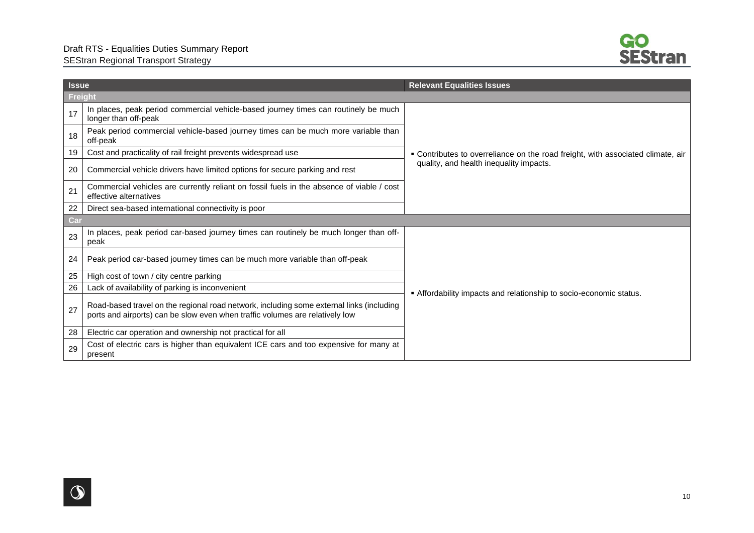

| <b>Issue</b>   |                                                                                                                                                                          | <b>Relevant Equalities Issues</b>                                               |
|----------------|--------------------------------------------------------------------------------------------------------------------------------------------------------------------------|---------------------------------------------------------------------------------|
| <b>Freight</b> |                                                                                                                                                                          |                                                                                 |
| 17             | In places, peak period commercial vehicle-based journey times can routinely be much<br>longer than off-peak                                                              |                                                                                 |
| 18             | Peak period commercial vehicle-based journey times can be much more variable than<br>off-peak                                                                            |                                                                                 |
| 19             | Cost and practicality of rail freight prevents widespread use                                                                                                            | • Contributes to overreliance on the road freight, with associated climate, air |
| 20             | Commercial vehicle drivers have limited options for secure parking and rest                                                                                              | quality, and health inequality impacts.                                         |
| 21             | Commercial vehicles are currently reliant on fossil fuels in the absence of viable / cost<br>effective alternatives                                                      |                                                                                 |
| 22             | Direct sea-based international connectivity is poor                                                                                                                      |                                                                                 |
| Car            |                                                                                                                                                                          |                                                                                 |
| 23             | In places, peak period car-based journey times can routinely be much longer than off-<br>peak                                                                            |                                                                                 |
| 24             | Peak period car-based journey times can be much more variable than off-peak                                                                                              |                                                                                 |
| 25             | High cost of town / city centre parking                                                                                                                                  |                                                                                 |
| 26             | Lack of availability of parking is inconvenient                                                                                                                          | Affordability impacts and relationship to socio-economic status.                |
| 27             | Road-based travel on the regional road network, including some external links (including<br>ports and airports) can be slow even when traffic volumes are relatively low |                                                                                 |
| 28             | Electric car operation and ownership not practical for all                                                                                                               |                                                                                 |
| 29             | Cost of electric cars is higher than equivalent ICE cars and too expensive for many at<br>present                                                                        |                                                                                 |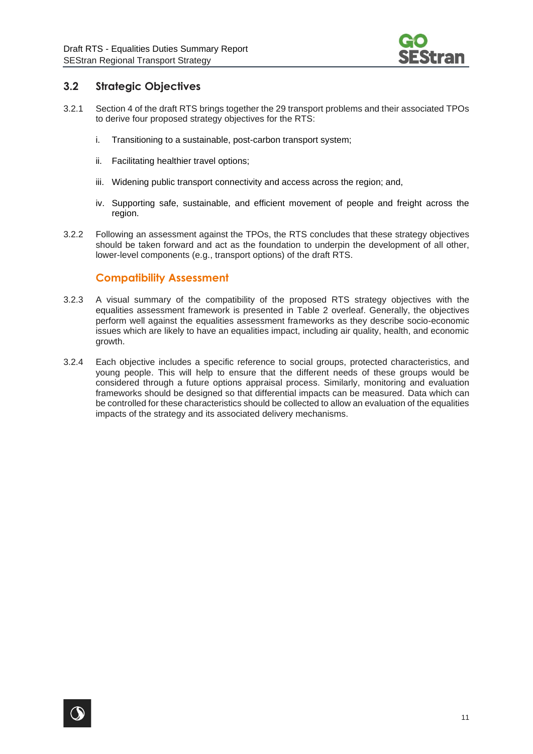

## <span id="page-14-0"></span>**3.2 Strategic Objectives**

- 3.2.1 Section 4 of the draft RTS brings together the 29 transport problems and their associated TPOs to derive four proposed strategy objectives for the RTS:
	- i. Transitioning to a sustainable, post-carbon transport system;
	- ii. Facilitating healthier travel options;
	- iii. Widening public transport connectivity and access across the region; and,
	- iv. Supporting safe, sustainable, and efficient movement of people and freight across the region.
- 3.2.2 Following an assessment against the TPOs, the RTS concludes that these strategy objectives should be taken forward and act as the foundation to underpin the development of all other, lower-level components (e.g., transport options) of the draft RTS.

### **Compatibility Assessment**

- 3.2.3 A visual summary of the compatibility of the proposed RTS strategy objectives with the equalities assessment framework is presented in [Table 2](#page-15-0) overleaf. Generally, the objectives perform well against the equalities assessment frameworks as they describe socio-economic issues which are likely to have an equalities impact, including air quality, health, and economic growth.
- 3.2.4 Each objective includes a specific reference to social groups, protected characteristics, and young people. This will help to ensure that the different needs of these groups would be considered through a future options appraisal process. Similarly, monitoring and evaluation frameworks should be designed so that differential impacts can be measured. Data which can be controlled for these characteristics should be collected to allow an evaluation of the equalities impacts of the strategy and its associated delivery mechanisms.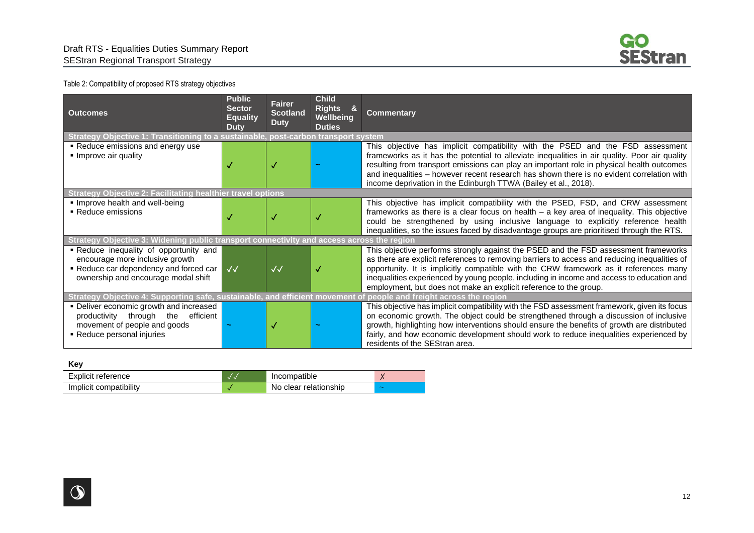

#### Table 2: Compatibility of proposed RTS strategy objectives

| <b>Outcomes</b>                                                                                                                                          | <b>Public</b><br><b>Sector</b><br><b>Equality</b><br><b>Duty</b> | <b>Fairer</b><br><b>Scotland</b><br><b>Duty</b> | <b>Child</b><br><b>Rights</b><br>&<br><b>Wellbeing</b><br><b>Duties</b> | <b>Commentary</b>                                                                                                                                                                                                                                                                                                                                                                                                                              |
|----------------------------------------------------------------------------------------------------------------------------------------------------------|------------------------------------------------------------------|-------------------------------------------------|-------------------------------------------------------------------------|------------------------------------------------------------------------------------------------------------------------------------------------------------------------------------------------------------------------------------------------------------------------------------------------------------------------------------------------------------------------------------------------------------------------------------------------|
| Strategy Objective 1: Transitioning to a sustainable, post-carbon transport system                                                                       |                                                                  |                                                 |                                                                         |                                                                                                                                                                                                                                                                                                                                                                                                                                                |
| • Reduce emissions and energy use<br>Improve air quality                                                                                                 |                                                                  |                                                 |                                                                         | This objective has implicit compatibility with the PSED and the FSD assessment<br>frameworks as it has the potential to alleviate inequalities in air quality. Poor air quality<br>resulting from transport emissions can play an important role in physical health outcomes<br>and inequalities - however recent research has shown there is no evident correlation with<br>income deprivation in the Edinburgh TTWA (Bailey et al., 2018).   |
| <b>Strategy Objective 2: Facilitating healthier travel options</b>                                                                                       |                                                                  |                                                 |                                                                         |                                                                                                                                                                                                                                                                                                                                                                                                                                                |
| . Improve health and well-being<br>• Reduce emissions                                                                                                    |                                                                  |                                                 |                                                                         | This objective has implicit compatibility with the PSED, FSD, and CRW assessment<br>frameworks as there is a clear focus on health $-$ a key area of inequality. This objective<br>could be strengthened by using inclusive language to explicitly reference health<br>inequalities, so the issues faced by disadvantage groups are prioritised through the RTS.                                                                               |
| Strategy Objective 3: Widening public transport connectivity and access across the region                                                                |                                                                  |                                                 |                                                                         |                                                                                                                                                                                                                                                                                                                                                                                                                                                |
| - Reduce inequality of opportunity and<br>encourage more inclusive growth<br>Reduce car dependency and forced car<br>ownership and encourage modal shift | $\sqrt{\sqrt{2}}$                                                | $\checkmark$                                    |                                                                         | This objective performs strongly against the PSED and the FSD assessment frameworks<br>as there are explicit references to removing barriers to access and reducing inequalities of<br>opportunity. It is implicitly compatible with the CRW framework as it references many<br>inequalities experienced by young people, including in income and access to education and<br>employment, but does not make an explicit reference to the group. |
| Strategy Objective 4: Supporting safe, sustainable, and efficient movement of people and freight across the region                                       |                                                                  |                                                 |                                                                         |                                                                                                                                                                                                                                                                                                                                                                                                                                                |
| • Deliver economic growth and increased<br>efficient<br>productivity through<br>the<br>movement of people and goods<br>• Reduce personal injuries        |                                                                  |                                                 |                                                                         | This objective has implicit compatibility with the FSD assessment framework, given its focus<br>on economic growth. The object could be strengthened through a discussion of inclusive<br>growth, highlighting how interventions should ensure the benefits of growth are distributed<br>fairly, and how economic development should work to reduce inequalities experienced by<br>residents of the SEStran area.                              |

<span id="page-15-0"></span>**Key**

| Explicit reference     | Incompatible          |  |
|------------------------|-----------------------|--|
| Implicit compatibility | No clear relationship |  |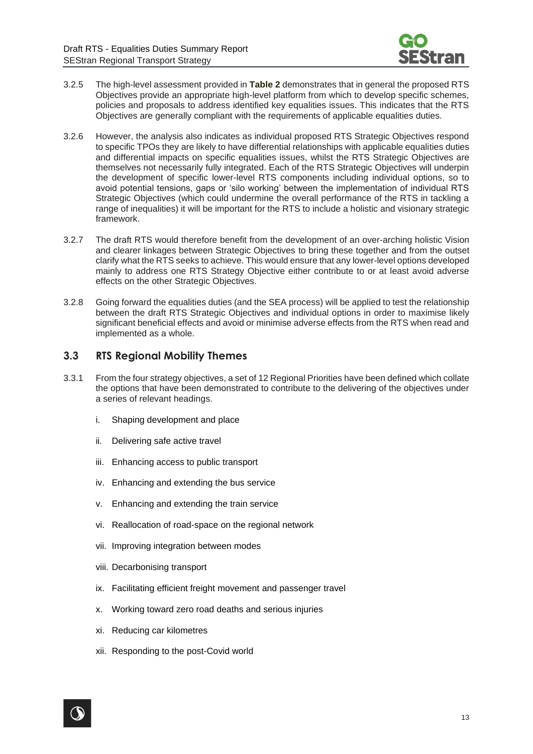

- 3.2.5 The high-level assessment provided in **Table 2** demonstrates that in general the proposed RTS Objectives provide an appropriate high-level platform from which to develop specific schemes, policies and proposals to address identified key equalities issues. This indicates that the RTS Objectives are generally compliant with the requirements of applicable equalities duties.
- 3.2.6 However, the analysis also indicates as individual proposed RTS Strategic Objectives respond to specific TPOs they are likely to have differential relationships with applicable equalities duties and differential impacts on specific equalities issues, whilst the RTS Strategic Objectives are themselves not necessarily fully integrated. Each of the RTS Strategic Objectives will underpin the development of specific lower-level RTS components including individual options, so to avoid potential tensions, gaps or 'silo working' between the implementation of individual RTS Strategic Objectives (which could undermine the overall performance of the RTS in tackling a range of inequalities) it will be important for the RTS to include a holistic and visionary strategic framework.
- 3.2.7 The draft RTS would therefore benefit from the development of an over-arching holistic Vision and clearer linkages between Strategic Objectives to bring these together and from the outset clarify what the RTS seeks to achieve. This would ensure that any lower-level options developed mainly to address one RTS Strategy Objective either contribute to or at least avoid adverse effects on the other Strategic Objectives.
- 3.2.8 Going forward the equalities duties (and the SEA process) will be applied to test the relationship between the draft RTS Strategic Objectives and individual options in order to maximise likely significant beneficial effects and avoid or minimise adverse effects from the RTS when read and implemented as a whole.

### <span id="page-16-0"></span>**3.3 RTS Regional Mobility Themes**

- 3.3.1 From the four strategy objectives, a set of 12 Regional Priorities have been defined which collate the options that have been demonstrated to contribute to the delivering of the objectives under a series of relevant headings.
	- i. Shaping development and place
	- ii. Delivering safe active travel
	- iii. Enhancing access to public transport
	- iv. Enhancing and extending the bus service
	- v. Enhancing and extending the train service
	- vi. Reallocation of road-space on the regional network
	- vii. Improving integration between modes
	- viii. Decarbonising transport
	- ix. Facilitating efficient freight movement and passenger travel
	- x. Working toward zero road deaths and serious injuries
	- xi. Reducing car kilometres
	- xii. Responding to the post-Covid world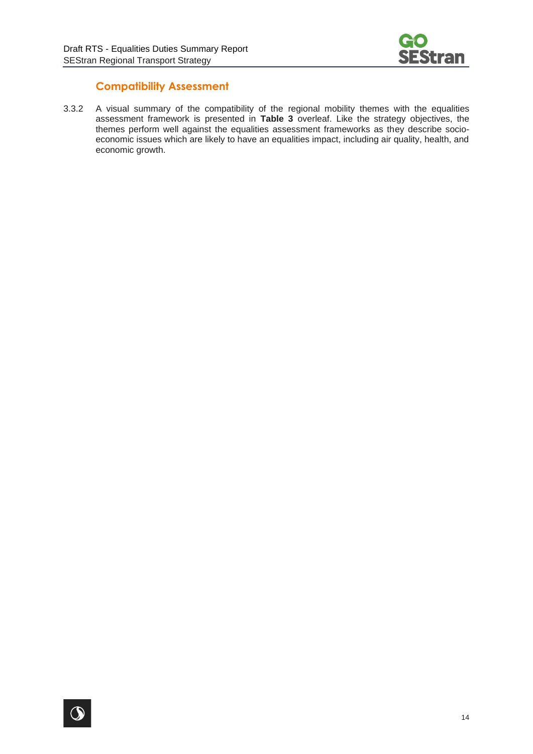

# **Compatibility Assessment**

3.3.2 A visual summary of the compatibility of the regional mobility themes with the equalities assessment framework is presented in **[Table 3](#page-18-0)** overleaf. Like the strategy objectives, the themes perform well against the equalities assessment frameworks as they describe socioeconomic issues which are likely to have an equalities impact, including air quality, health, and economic growth.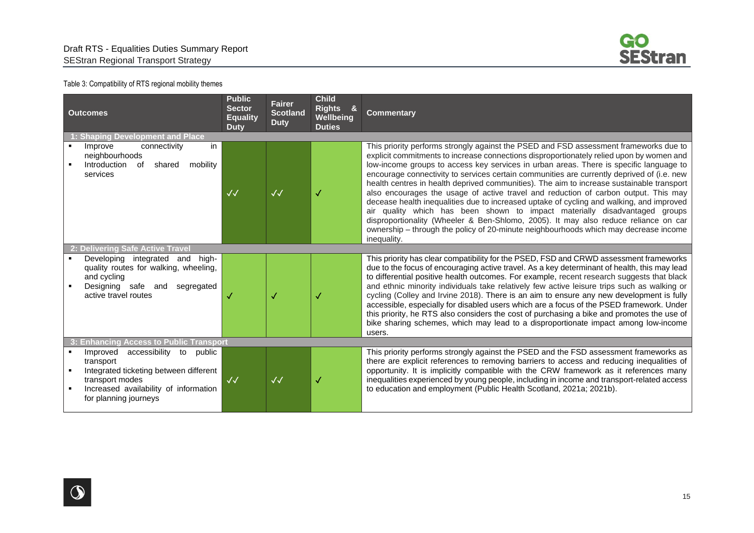

#### Table 3: Compatibility of RTS regional mobility themes

<span id="page-18-0"></span>

| <b>Outcomes</b>                                                                                                                                                                 | <b>Public</b><br><b>Fairer</b><br><b>Sector</b><br><b>Scotland</b><br><b>Equality</b><br><b>Duty</b><br><b>Duty</b> |                   | <b>Child</b><br>Rights &<br>Wellbeing<br><b>Duties</b> | <b>Commentary</b>                                                                                                                                                                                                                                                                                                                                                                                                                                                                                                                                                                                                                                                                                                                                                                                                                                                                                                                     |  |  |
|---------------------------------------------------------------------------------------------------------------------------------------------------------------------------------|---------------------------------------------------------------------------------------------------------------------|-------------------|--------------------------------------------------------|---------------------------------------------------------------------------------------------------------------------------------------------------------------------------------------------------------------------------------------------------------------------------------------------------------------------------------------------------------------------------------------------------------------------------------------------------------------------------------------------------------------------------------------------------------------------------------------------------------------------------------------------------------------------------------------------------------------------------------------------------------------------------------------------------------------------------------------------------------------------------------------------------------------------------------------|--|--|
| : Shaping Development and Place                                                                                                                                                 |                                                                                                                     |                   |                                                        |                                                                                                                                                                                                                                                                                                                                                                                                                                                                                                                                                                                                                                                                                                                                                                                                                                                                                                                                       |  |  |
| in<br>connectivity<br>Improve<br>neighbourhoods<br>mobility<br>Introduction<br>of<br>shared<br>services                                                                         | $\sqrt{\sqrt{2}}$                                                                                                   | $\sqrt{\sqrt{2}}$ | $\checkmark$                                           | This priority performs strongly against the PSED and FSD assessment frameworks due to<br>explicit commitments to increase connections disproportionately relied upon by women and<br>low-income groups to access key services in urban areas. There is specific language to<br>encourage connectivity to services certain communities are currently deprived of (i.e. new<br>health centres in health deprived communities). The aim to increase sustainable transport<br>also encourages the usage of active travel and reduction of carbon output. This may<br>decease health inequalities due to increased uptake of cycling and walking, and improved<br>air quality which has been shown to impact materially disadvantaged groups<br>disproportionality (Wheeler & Ben-Shlomo, 2005). It may also reduce reliance on car<br>ownership - through the policy of 20-minute neighbourhoods which may decrease income<br>inequality. |  |  |
| 2: Delivering Safe Active Travel                                                                                                                                                |                                                                                                                     |                   |                                                        |                                                                                                                                                                                                                                                                                                                                                                                                                                                                                                                                                                                                                                                                                                                                                                                                                                                                                                                                       |  |  |
| Developing integrated and high-<br>quality routes for walking, wheeling,<br>and cycling<br>Designing safe and<br>segregated<br>active travel routes                             |                                                                                                                     |                   | V                                                      | This priority has clear compatibility for the PSED, FSD and CRWD assessment frameworks<br>due to the focus of encouraging active travel. As a key determinant of health, this may lead<br>to differential positive health outcomes. For example, recent research suggests that black<br>and ethnic minority individuals take relatively few active leisure trips such as walking or<br>cycling (Colley and Irvine 2018). There is an aim to ensure any new development is fully<br>accessible, especially for disabled users which are a focus of the PSED framework. Under<br>this priority, he RTS also considers the cost of purchasing a bike and promotes the use of<br>bike sharing schemes, which may lead to a disproportionate impact among low-income<br>users.                                                                                                                                                             |  |  |
| 3: Enhancing Access to Public Transport                                                                                                                                         |                                                                                                                     |                   |                                                        |                                                                                                                                                                                                                                                                                                                                                                                                                                                                                                                                                                                                                                                                                                                                                                                                                                                                                                                                       |  |  |
| Improved accessibility to<br>public<br>transport<br>Integrated ticketing between different<br>transport modes<br>Increased availability of information<br>for planning journeys | $\sqrt{\sqrt{2}}$                                                                                                   | $\sqrt{\sqrt{2}}$ | √                                                      | This priority performs strongly against the PSED and the FSD assessment frameworks as<br>there are explicit references to removing barriers to access and reducing inequalities of<br>opportunity. It is implicitly compatible with the CRW framework as it references many<br>inequalities experienced by young people, including in income and transport-related access<br>to education and employment (Public Health Scotland, 2021a; 2021b).                                                                                                                                                                                                                                                                                                                                                                                                                                                                                      |  |  |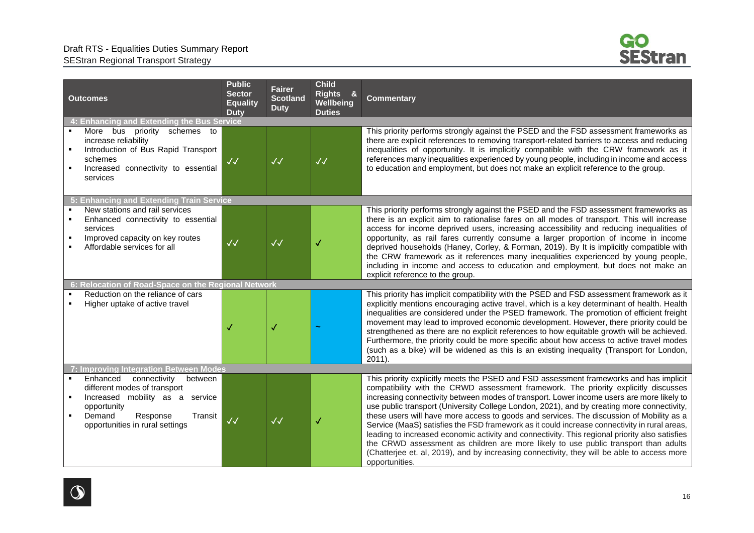

| <b>Outcomes</b>                                                                                                                                                                                 | <b>Public</b><br><b>Sector</b><br><b>Equality</b><br><b>Duty</b> | <b>Fairer</b><br><b>Scotland</b><br><b>Duty</b> | <b>Child</b><br>Rights &<br>Wellbeing<br><b>Duties</b> | <b>Commentary</b>                                                                                                                                                                                                                                                                                                                                                                                                                                                                                                                                                                                                                                                                                                                                                                                                                                                              |
|-------------------------------------------------------------------------------------------------------------------------------------------------------------------------------------------------|------------------------------------------------------------------|-------------------------------------------------|--------------------------------------------------------|--------------------------------------------------------------------------------------------------------------------------------------------------------------------------------------------------------------------------------------------------------------------------------------------------------------------------------------------------------------------------------------------------------------------------------------------------------------------------------------------------------------------------------------------------------------------------------------------------------------------------------------------------------------------------------------------------------------------------------------------------------------------------------------------------------------------------------------------------------------------------------|
| 4: Enhancing and Extending the Bus Service<br>More bus<br>priority schemes to                                                                                                                   |                                                                  |                                                 |                                                        | This priority performs strongly against the PSED and the FSD assessment frameworks as                                                                                                                                                                                                                                                                                                                                                                                                                                                                                                                                                                                                                                                                                                                                                                                          |
| increase reliability<br>Introduction of Bus Rapid Transport<br>schemes<br>Increased connectivity to essential<br>services                                                                       | $\checkmark$                                                     | $\sqrt{\sqrt{2}}$                               | $\sqrt{\sqrt{2}}$                                      | there are explicit references to removing transport-related barriers to access and reducing<br>inequalities of opportunity. It is implicitly compatible with the CRW framework as it<br>references many inequalities experienced by young people, including in income and access<br>to education and employment, but does not make an explicit reference to the group.                                                                                                                                                                                                                                                                                                                                                                                                                                                                                                         |
| 5: Enhancing and Extending Train Service                                                                                                                                                        |                                                                  |                                                 |                                                        |                                                                                                                                                                                                                                                                                                                                                                                                                                                                                                                                                                                                                                                                                                                                                                                                                                                                                |
| New stations and rail services<br>Enhanced connectivity to essential<br>services<br>Improved capacity on key routes<br>Affordable services for all                                              | $\sqrt{\sqrt{2}}$                                                | $\sqrt{\sqrt{2}}$                               | $\checkmark$                                           | This priority performs strongly against the PSED and the FSD assessment frameworks as<br>there is an explicit aim to rationalise fares on all modes of transport. This will increase<br>access for income deprived users, increasing accessibility and reducing inequalities of<br>opportunity, as rail fares currently consume a larger proportion of income in income<br>deprived households (Haney, Corley, & Forman, 2019). By It is implicitly compatible with<br>the CRW framework as it references many inequalities experienced by young people,<br>including in income and access to education and employment, but does not make an<br>explicit reference to the group.                                                                                                                                                                                               |
| 6: Relocation of Road-Space on the Regional Network                                                                                                                                             |                                                                  |                                                 |                                                        |                                                                                                                                                                                                                                                                                                                                                                                                                                                                                                                                                                                                                                                                                                                                                                                                                                                                                |
| Reduction on the reliance of cars<br>Higher uptake of active travel                                                                                                                             |                                                                  |                                                 |                                                        | This priority has implicit compatibility with the PSED and FSD assessment framework as it<br>explicitly mentions encouraging active travel, which is a key determinant of health. Health<br>inequalities are considered under the PSED framework. The promotion of efficient freight<br>movement may lead to improved economic development. However, there priority could be<br>strengthened as there are no explicit references to how equitable growth will be achieved.<br>Furthermore, the priority could be more specific about how access to active travel modes<br>(such as a bike) will be widened as this is an existing inequality (Transport for London,<br>$2011$ ).                                                                                                                                                                                               |
| 7: Improving Integration Between Modes                                                                                                                                                          |                                                                  |                                                 |                                                        |                                                                                                                                                                                                                                                                                                                                                                                                                                                                                                                                                                                                                                                                                                                                                                                                                                                                                |
| connectivity<br>Enhanced<br>between<br>different modes of transport<br>Increased mobility as a service<br>opportunity<br>Demand<br>Response<br>Transit<br>٠.<br>opportunities in rural settings | $\sqrt{\sqrt{2}}$                                                | $\sqrt{\sqrt{2}}$                               | $\checkmark$                                           | This priority explicitly meets the PSED and FSD assessment frameworks and has implicit<br>compatibility with the CRWD assessment framework. The priority explicitly discusses<br>increasing connectivity between modes of transport. Lower income users are more likely to<br>use public transport (University College London, 2021), and by creating more connectivity,<br>these users will have more access to goods and services. The discussion of Mobility as a<br>Service (MaaS) satisfies the FSD framework as it could increase connectivity in rural areas,<br>leading to increased economic activity and connectivity. This regional priority also satisfies<br>the CRWD assessment as children are more likely to use public transport than adults<br>(Chatterjee et. al, 2019), and by increasing connectivity, they will be able to access more<br>opportunities. |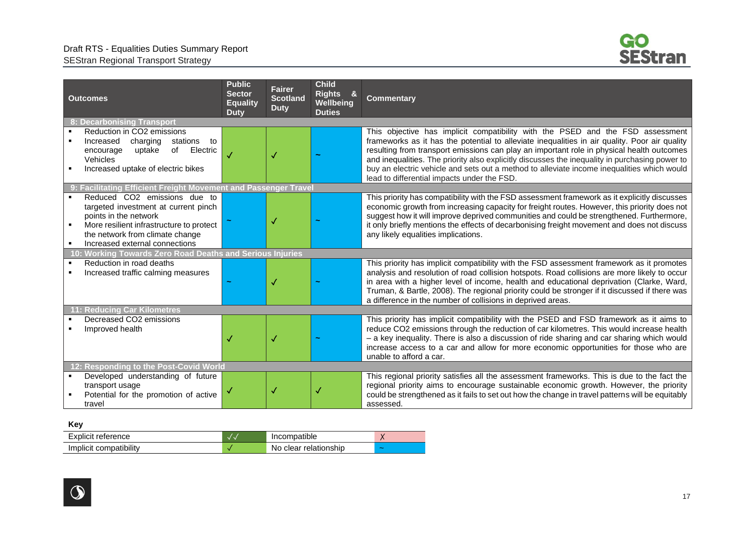

| <b>Outcomes</b>                                                                                                                                                                                                | <b>Public</b><br><b>Sector</b><br><b>Equality</b><br><b>Duty</b> | <b>Fairer</b><br><b>Scotland</b><br><b>Duty</b> | <b>Child</b><br><b>Rights</b><br><b>&amp;</b><br>Wellbeing<br><b>Duties</b> | <b>Commentary</b>                                                                                                                                                                                                                                                                                                                                                                                                                                                                                                           |
|----------------------------------------------------------------------------------------------------------------------------------------------------------------------------------------------------------------|------------------------------------------------------------------|-------------------------------------------------|-----------------------------------------------------------------------------|-----------------------------------------------------------------------------------------------------------------------------------------------------------------------------------------------------------------------------------------------------------------------------------------------------------------------------------------------------------------------------------------------------------------------------------------------------------------------------------------------------------------------------|
| 8: Decarbonising Transport                                                                                                                                                                                     |                                                                  |                                                 |                                                                             |                                                                                                                                                                                                                                                                                                                                                                                                                                                                                                                             |
| Reduction in CO <sub>2</sub> emissions<br>Increased<br>charging<br>stations to<br>of Electric<br>uptake<br>encourage<br><b>Vehicles</b><br>Increased uptake of electric bikes                                  |                                                                  |                                                 |                                                                             | This objective has implicit compatibility with the PSED and the FSD assessment<br>frameworks as it has the potential to alleviate inequalities in air quality. Poor air quality<br>resulting from transport emissions can play an important role in physical health outcomes<br>and inequalities. The priority also explicitly discusses the inequality in purchasing power to<br>buy an electric vehicle and sets out a method to alleviate income inequalities which would<br>lead to differential impacts under the FSD. |
| 9: Facilitating Efficient Freight Movement and Passenger Travel                                                                                                                                                |                                                                  |                                                 |                                                                             |                                                                                                                                                                                                                                                                                                                                                                                                                                                                                                                             |
| Reduced CO2 emissions due to<br>targeted investment at current pinch<br>points in the network<br>More resilient infrastructure to protect<br>the network from climate change<br>Increased external connections |                                                                  | √                                               |                                                                             | This priority has compatibility with the FSD assessment framework as it explicitly discusses<br>economic growth from increasing capacity for freight routes. However, this priority does not<br>suggest how it will improve deprived communities and could be strengthened. Furthermore,<br>it only briefly mentions the effects of decarbonising freight movement and does not discuss<br>any likely equalities implications.                                                                                              |
| <b>Working Towards Zero Road Deaths and Serious Injuries</b><br>10:                                                                                                                                            |                                                                  |                                                 |                                                                             |                                                                                                                                                                                                                                                                                                                                                                                                                                                                                                                             |
| Reduction in road deaths<br>Increased traffic calming measures                                                                                                                                                 |                                                                  | √                                               |                                                                             | This priority has implicit compatibility with the FSD assessment framework as it promotes<br>analysis and resolution of road collision hotspots. Road collisions are more likely to occur<br>in area with a higher level of income, health and educational deprivation (Clarke, Ward,<br>Truman, & Bartle, 2008). The regional priority could be stronger if it discussed if there was<br>a difference in the number of collisions in deprived areas.                                                                       |
| <b>Reducing Car Kilometres</b>                                                                                                                                                                                 |                                                                  |                                                 |                                                                             |                                                                                                                                                                                                                                                                                                                                                                                                                                                                                                                             |
| Decreased CO2 emissions<br>Improved health                                                                                                                                                                     | √                                                                |                                                 |                                                                             | This priority has implicit compatibility with the PSED and FSD framework as it aims to<br>reduce CO2 emissions through the reduction of car kilometres. This would increase health<br>- a key inequality. There is also a discussion of ride sharing and car sharing which would<br>increase access to a car and allow for more economic opportunities for those who are<br>unable to afford a car.                                                                                                                         |
| 12: Responding to the Post-Covid World                                                                                                                                                                         |                                                                  |                                                 |                                                                             |                                                                                                                                                                                                                                                                                                                                                                                                                                                                                                                             |
| Developed understanding of future<br>transport usage<br>Potential for the promotion of active<br>travel                                                                                                        |                                                                  |                                                 |                                                                             | This regional priority satisfies all the assessment frameworks. This is due to the fact the<br>regional priority aims to encourage sustainable economic growth. However, the priority<br>could be strengthened as it fails to set out how the change in travel patterns will be equitably<br>assessed.                                                                                                                                                                                                                      |

#### **Key**

| Explicit reference     | Incompatible          |        |
|------------------------|-----------------------|--------|
| Implicit compatibility | No clear relationship | $\sim$ |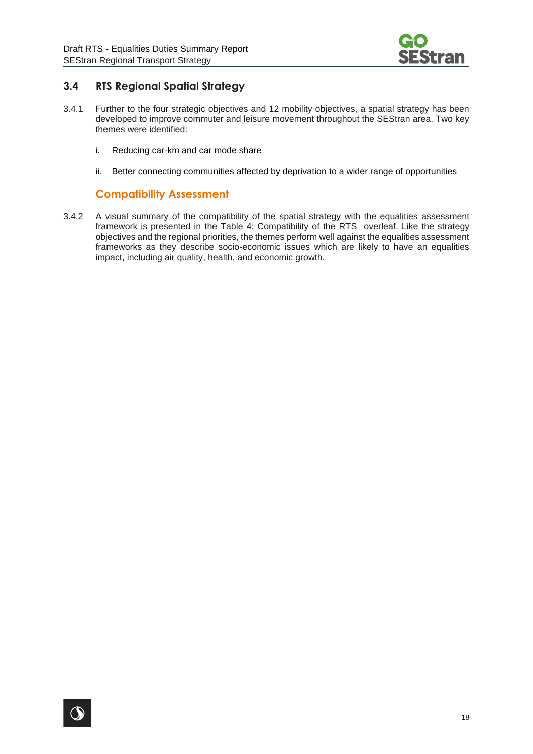

# <span id="page-21-0"></span>**3.4 RTS Regional Spatial Strategy**

- 3.4.1 Further to the four strategic objectives and 12 mobility objectives, a spatial strategy has been developed to improve commuter and leisure movement throughout the SEStran area. Two key themes were identified:
	- i. Reducing car-km and car mode share
	- ii. Better connecting communities affected by deprivation to a wider range of opportunities

# **Compatibility Assessment**

3.4.2 A visual summary of the compatibility of the spatial strategy with the equalities assessment framework is presented in the [Table 4: Compatibility of the RTS](#page-22-0) overleaf. Like the strategy objectives and the regional priorities, the themes perform well against the equalities assessment frameworks as they describe socio-economic issues which are likely to have an equalities impact, including air quality, health, and economic growth.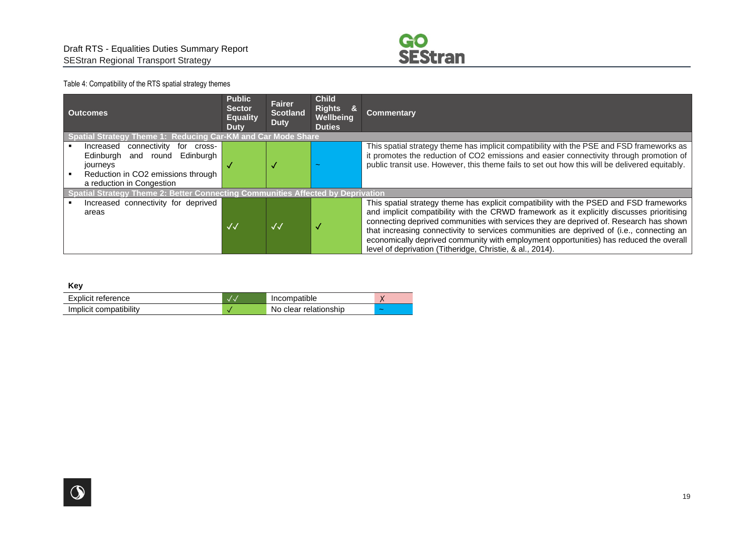

Table 4: Compatibility of the RTS spatial strategy themes

| <b>Outcomes</b>                                                                                            | <b>Public</b><br><b>Sector</b><br><b>Equality</b><br><b>Duty</b> | <b>Fairer</b><br><b>Scotland</b><br><b>Duty</b> | <b>Child</b><br><b>Rights</b><br>-8.<br>Wellbeing<br><b>Duties</b> | <b>Commentary</b>                                                                              |  |  |
|------------------------------------------------------------------------------------------------------------|------------------------------------------------------------------|-------------------------------------------------|--------------------------------------------------------------------|------------------------------------------------------------------------------------------------|--|--|
| Spatial Strategy Theme 1: Reducing Car-KM and Car Mode Share<br>connectivity<br>Increased<br>for<br>cross- |                                                                  |                                                 |                                                                    | This spatial strategy theme has implicit compatibility with the PSE and FSD frameworks as      |  |  |
| Edinburgh<br>Edinburgh<br>and<br>round                                                                     |                                                                  |                                                 |                                                                    | it promotes the reduction of CO2 emissions and easier connectivity through promotion of        |  |  |
| journeys                                                                                                   |                                                                  |                                                 |                                                                    | public transit use. However, this theme fails to set out how this will be delivered equitably. |  |  |
| Reduction in CO2 emissions through                                                                         |                                                                  |                                                 |                                                                    |                                                                                                |  |  |
| a reduction in Congestion                                                                                  |                                                                  |                                                 |                                                                    |                                                                                                |  |  |
| <b>Spatial Strategy Theme 2: Better Connecting Communities Affected by Deprivation</b>                     |                                                                  |                                                 |                                                                    |                                                                                                |  |  |
| Increased connectivity for deprived                                                                        |                                                                  |                                                 |                                                                    | This spatial strategy theme has explicit compatibility with the PSED and FSD frameworks        |  |  |
| areas                                                                                                      |                                                                  |                                                 |                                                                    | and implicit compatibility with the CRWD framework as it explicitly discusses prioritising     |  |  |
|                                                                                                            | $\sqrt{\sqrt{2}}$                                                | $\sqrt{\sqrt{2}}$                               | M                                                                  | connecting deprived communities with services they are deprived of. Research has shown         |  |  |
|                                                                                                            |                                                                  |                                                 |                                                                    | that increasing connectivity to services communities are deprived of (i.e., connecting an      |  |  |
|                                                                                                            |                                                                  |                                                 |                                                                    | economically deprived community with employment opportunities) has reduced the overall         |  |  |
|                                                                                                            |                                                                  |                                                 |                                                                    | level of deprivation (Titheridge, Christie, & al., 2014).                                      |  |  |

**Key**

 $\circledcirc$ 

<span id="page-22-0"></span>

| Explicit reference     | Incompatible          |        |
|------------------------|-----------------------|--------|
| Implicit compatibility | No clear relationship | $\sim$ |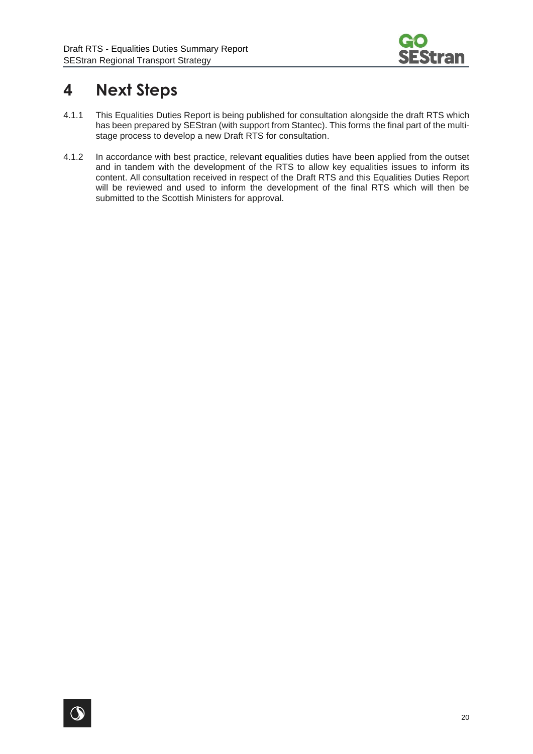

# <span id="page-23-0"></span>**4 Next Steps**

- 4.1.1 This Equalities Duties Report is being published for consultation alongside the draft RTS which has been prepared by SEStran (with support from Stantec). This forms the final part of the multistage process to develop a new Draft RTS for consultation.
- 4.1.2 In accordance with best practice, relevant equalities duties have been applied from the outset and in tandem with the development of the RTS to allow key equalities issues to inform its content. All consultation received in respect of the Draft RTS and this Equalities Duties Report will be reviewed and used to inform the development of the final RTS which will then be submitted to the Scottish Ministers for approval.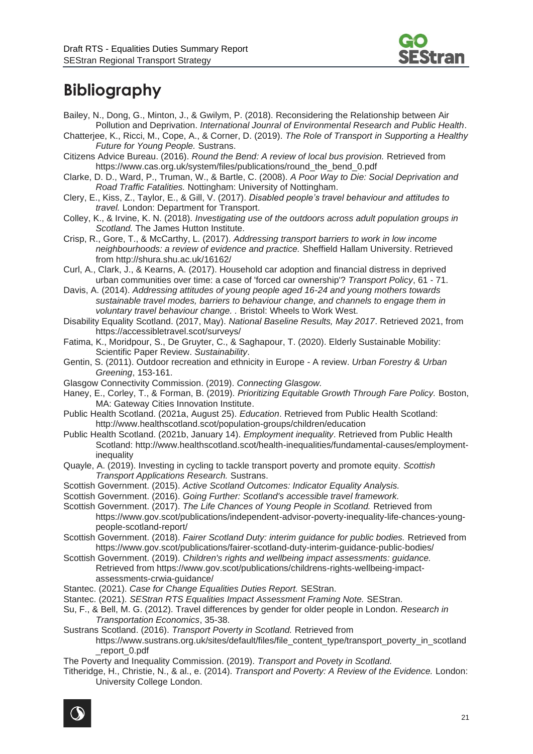

# <span id="page-24-0"></span>**Bibliography**

- Bailey, N., Dong, G., Minton, J., & Gwilym, P. (2018). Reconsidering the Relationship between Air Pollution and Deprivation. *International Jounral of Environmental Research and Public Health*.
- Chatterjee, K., Ricci, M., Cope, A., & Corner, D. (2019). *The Role of Transport in Supporting a Healthy Future for Young People.* Sustrans.
- Citizens Advice Bureau. (2016). *Round the Bend: A review of local bus provision.* Retrieved from https://www.cas.org.uk/system/files/publications/round\_the\_bend\_0.pdf
- Clarke, D. D., Ward, P., Truman, W., & Bartle, C. (2008). *A Poor Way to Die: Social Deprivation and Road Traffic Fatalities.* Nottingham: University of Nottingham.
- Clery, E., Kiss, Z., Taylor, E., & Gill, V. (2017). *Disabled people's travel behaviour and attitudes to travel.* London: Department for Transport.

Colley, K., & Irvine, K. N. (2018). *Investigating use of the outdoors across adult population groups in Scotland.* The James Hutton Institute.

- Crisp, R., Gore, T., & McCarthy, L. (2017). *Addressing transport barriers to work in low income neighbourhoods: a review of evidence and practice.* Sheffield Hallam University. Retrieved from http://shura.shu.ac.uk/16162/
- Curl, A., Clark, J., & Kearns, A. (2017). Household car adoption and financial distress in deprived urban communities over time: a case of 'forced car ownership'? *Transport Policy*, 61 - 71.
- Davis, A. (2014). *Addressing attitudes of young people aged 16-24 and young mothers towards sustainable travel modes, barriers to behaviour change, and channels to engage them in voluntary travel behaviour change. .* Bristol: Wheels to Work West.
- Disability Equality Scotland. (2017, May). *National Baseline Results, May 2017*. Retrieved 2021, from https://accessibletravel.scot/surveys/
- Fatima, K., Moridpour, S., De Gruyter, C., & Saghapour, T. (2020). Elderly Sustainable Mobility: Scientific Paper Review. *Sustainability*.
- Gentin, S. (2011). Outdoor recreation and ethnicity in Europe A review. *Urban Forestry & Urban Greening*, 153-161.
- Glasgow Connectivity Commission. (2019). *Connecting Glasgow.*
- Haney, E., Corley, T., & Forman, B. (2019). *Prioritizing Equitable Growth Through Fare Policy.* Boston, MA: Gateway Cities Innovation Institute.
- Public Health Scotland. (2021a, August 25). *Education*. Retrieved from Public Health Scotland: http://www.healthscotland.scot/population-groups/children/education
- Public Health Scotland. (2021b, January 14). *Employment inequality*. Retrieved from Public Health Scotland: http://www.healthscotland.scot/health-inequalities/fundamental-causes/employmentinequality
- Quayle, A. (2019). Investing in cycling to tackle transport poverty and promote equity. *Scottish Transport Applications Research.* Sustrans.
- Scottish Government. (2015). *Active Scotland Outcomes: Indicator Equality Analysis.*
- Scottish Government. (2016). *Going Further: Scotland's accessible travel framework.*
- Scottish Government. (2017). *The Life Chances of Young People in Scotland.* Retrieved from https://www.gov.scot/publications/independent-advisor-poverty-inequality-life-chances-youngpeople-scotland-report/
- Scottish Government. (2018). *Fairer Scotland Duty: interim guidance for public bodies.* Retrieved from https://www.gov.scot/publications/fairer-scotland-duty-interim-guidance-public-bodies/
- Scottish Government. (2019). *Children's rights and wellbeing impact assessments: guidance.* Retrieved from https://www.gov.scot/publications/childrens-rights-wellbeing-impactassessments-crwia-guidance/
- Stantec. (2021). *Case for Change Equalities Duties Report.* SEStran.
- Stantec. (2021). *SEStran RTS Equalities Impact Assessment Framing Note.* SEStran.
- Su, F., & Bell, M. G. (2012). Travel differences by gender for older people in London. *Research in Transportation Economics*, 35-38.
- Sustrans Scotland. (2016). *Transport Poverty in Scotland.* Retrieved from https://www.sustrans.org.uk/sites/default/files/file\_content\_type/transport\_poverty\_in\_scotland \_report\_0.pdf
- The Poverty and Inequality Commission. (2019). *Transport and Povety in Scotland.*
- Titheridge, H., Christie, N., & al., e. (2014). *Transport and Poverty: A Review of the Evidence.* London: University College London.